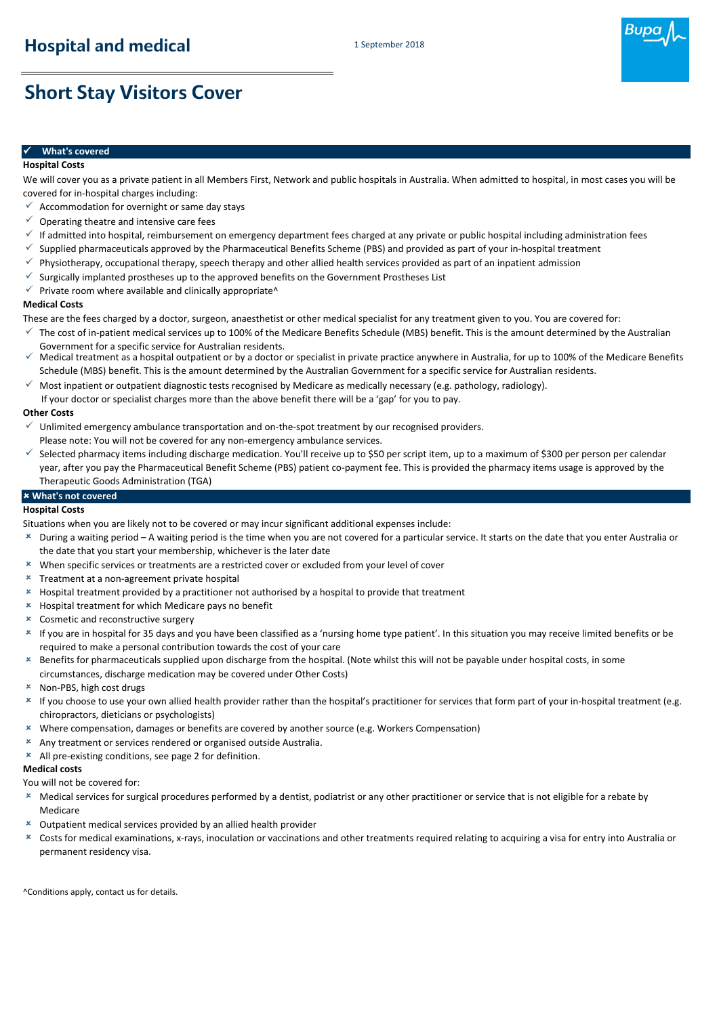

# **Short Stay Visitors Cover**

### ✓**What's covered**

**Hospital Costs**

We will cover you as a private patient in all Members First, Network and public hospitals in Australia. When admitted to hospital, in most cases you will be covered for in-hospital charges including:

- $\checkmark$  Accommodation for overnight or same day stays
- $\checkmark$  Operating theatre and intensive care fees
- $\checkmark$  If admitted into hospital, reimbursement on emergency department fees charged at any private or public hospital including administration fees
- $\checkmark$  Supplied pharmaceuticals approved by the Pharmaceutical Benefits Scheme (PBS) and provided as part of your in-hospital treatment
- $\checkmark$  Physiotherapy, occupational therapy, speech therapy and other allied health services provided as part of an inpatient admission
- Surgically implanted prostheses up to the approved benefits on the Government Prostheses List
- $\checkmark$  Private room where available and clinically appropriate^

#### **Medical Costs**

These are the fees charged by a doctor, surgeon, anaesthetist or other medical specialist for any treatment given to you. You are covered for:

- $\checkmark$  The cost of in-patient medical services up to 100% of the Medicare Benefits Schedule (MBS) benefit. This is the amount determined by the Australian Government for a specific service for Australian residents.
- $\checkmark$  Medical treatment as a hospital outpatient or by a doctor or specialist in private practice anywhere in Australia, for up to 100% of the Medicare Benefits Schedule (MBS) benefit. This is the amount determined by the Australian Government for a specific service for Australian residents.
- $\checkmark$  Most inpatient or outpatient diagnostic tests recognised by Medicare as medically necessary (e.g. pathology, radiology).

If your doctor or specialist charges more than the above benefit there will be a 'gap' for you to pay.

#### **Other Costs**

- ✓ Unlimited emergency ambulance transportation and on-the-spot treatment by our recognised providers. Please note: You will not be covered for any non-emergency ambulance services.
- ✓ Selected pharmacy items including discharge medication. You'll receive up to \$50 per script item, up to a maximum of \$300 per person per calendar year, after you pay the Pharmaceutical Benefit Scheme (PBS) patient co-payment fee. This is provided the pharmacy items usage is approved by the Therapeutic Goods Administration (TGA)

### **What's not covered**

#### **Hospital Costs**

Situations when you are likely not to be covered or may incur significant additional expenses include:

- During a waiting period A waiting period is the time when you are not covered for a particular service. It starts on the date that you enter Australia or the date that you start your membership, whichever is the later date
- When specific services or treatments are a restricted cover or excluded from your level of cover
- Treatment at a non-agreement private hospital
- Hospital treatment provided by a practitioner not authorised by a hospital to provide that treatment
- $*$  Hospital treatment for which Medicare pays no benefit
- Cosmetic and reconstructive surgery
- If you are in hospital for 35 days and you have been classified as a 'nursing home type patient'. In this situation you may receive limited benefits or be required to make a personal contribution towards the cost of your care
- $\pmb{\times}$ Benefits for pharmaceuticals supplied upon discharge from the hospital. (Note whilst this will not be payable under hospital costs, in some circumstances, discharge medication may be covered under Other Costs)
- Non-PBS, high cost drugs
- If you choose to use your own allied health provider rather than the hospital's practitioner for services that form part of your in-hospital treatment (e.g. chiropractors, dieticians or psychologists)
- Where compensation, damages or benefits are covered by another source (e.g. Workers Compensation)
- Any treatment or services rendered or organised outside Australia.
- All pre-existing conditions, see page 2 for definition.

#### **Medical costs**

You will not be covered for:

- Medical services for surgical procedures performed by a dentist, podiatrist or any other practitioner or service that is not eligible for a rebate by Medicare
- Outpatient medical services provided by an allied health provider
- $\pmb{\times}$ Costs for medical examinations, x-rays, inoculation or vaccinations and other treatments required relating to acquiring a visa for entry into Australia or permanent residency visa.

```
^Conditions apply, contact us for details.
```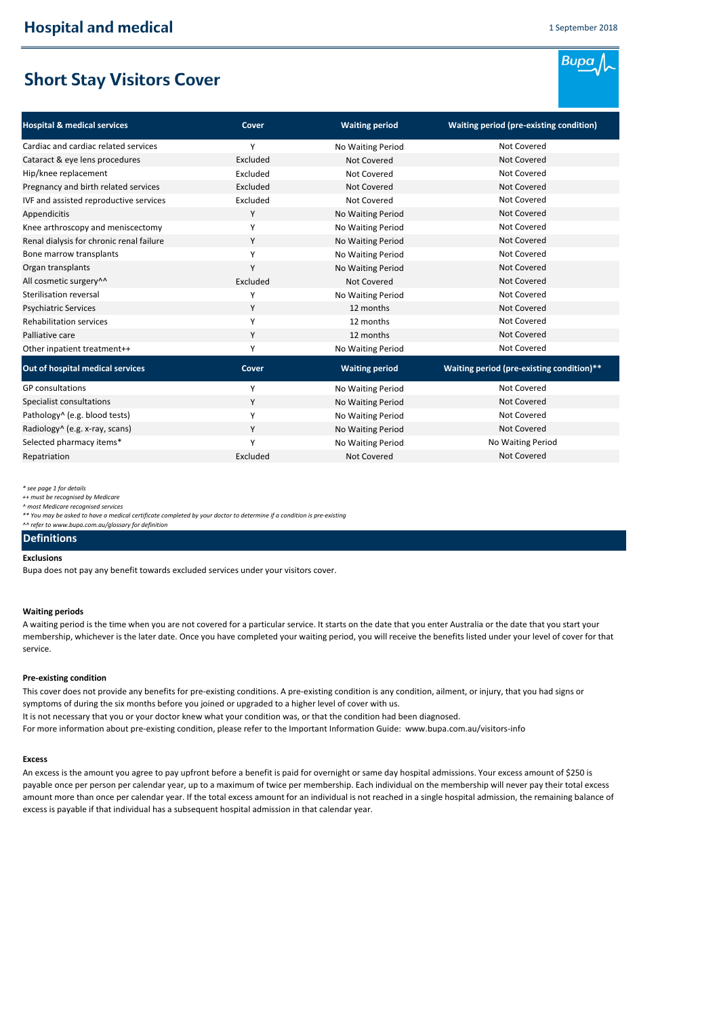**Bupa** 

# **Short Stay Visitors Cover**

| <b>Hospital &amp; medical services</b>   | Cover    | <b>Waiting period</b> | <b>Waiting period (pre-existing condition)</b> |
|------------------------------------------|----------|-----------------------|------------------------------------------------|
| Cardiac and cardiac related services     | Υ        | No Waiting Period     | Not Covered                                    |
| Cataract & eye lens procedures           | Excluded | <b>Not Covered</b>    | <b>Not Covered</b>                             |
| Hip/knee replacement                     | Excluded | <b>Not Covered</b>    | Not Covered                                    |
| Pregnancy and birth related services     | Excluded | <b>Not Covered</b>    | <b>Not Covered</b>                             |
| IVF and assisted reproductive services   | Excluded | <b>Not Covered</b>    | Not Covered                                    |
| Appendicitis                             | Y        | No Waiting Period     | <b>Not Covered</b>                             |
| Knee arthroscopy and meniscectomy        | Y        | No Waiting Period     | Not Covered                                    |
| Renal dialysis for chronic renal failure | Y        | No Waiting Period     | <b>Not Covered</b>                             |
| Bone marrow transplants                  | Y        | No Waiting Period     | Not Covered                                    |
| Organ transplants                        | Y        | No Waiting Period     | <b>Not Covered</b>                             |
| All cosmetic surgery <sup>^^</sup>       | Excluded | Not Covered           | Not Covered                                    |
| Sterilisation reversal                   | Υ        | No Waiting Period     | Not Covered                                    |
| <b>Psychiatric Services</b>              | Y        | 12 months             | <b>Not Covered</b>                             |
| <b>Rehabilitation services</b>           | Y        | 12 months             | Not Covered                                    |
| Palliative care                          | Y        | 12 months             | Not Covered                                    |
| Other inpatient treatment++              | Y        | No Waiting Period     | Not Covered                                    |
| Out of hospital medical services         | Cover    | <b>Waiting period</b> | Waiting period (pre-existing condition)**      |
| <b>GP</b> consultations                  | Υ        | No Waiting Period     | Not Covered                                    |
| Specialist consultations                 | Y        | No Waiting Period     | <b>Not Covered</b>                             |
| Pathology^ (e.g. blood tests)            | Y        | No Waiting Period     | Not Covered                                    |
| Radiology^ (e.g. x-ray, scans)           | Y        | No Waiting Period     | Not Covered                                    |
| Selected pharmacy items*                 | Υ        | No Waiting Period     | No Waiting Period                              |
| Repatriation                             | Excluded | <b>Not Covered</b>    | <b>Not Covered</b>                             |

*\* see page 1 for details*

*^ most Medicare recognised services*

*\*\* You may be asked to have a medical certificate completed by your doctor to determine if a condition is pre-existing*

## *^^ refer to www.bupa.com.au/glossary for definition*

### **Definitions**

#### **Exclusions**

Bupa does not pay any benefit towards excluded services under your visitors cover.

#### **Waiting periods**

A waiting period is the time when you are not covered for a particular service. It starts on the date that you enter Australia or the date that you start your membership, whichever is the later date. Once you have completed your waiting period, you will receive the benefits listed under your level of cover for that service.

#### **Pre-existing condition**

This cover does not provide any benefits for pre-existing conditions. A pre-existing condition is any condition, ailment, or injury, that you had signs or symptoms of during the six months before you joined or upgraded to a higher level of cover with us. It is not necessary that you or your doctor knew what your condition was, or that the condition had been diagnosed. For more information about pre-existing condition, please refer to the Important Information Guide: www.bupa.com.au/visitors-info

#### **Excess**

An excess is the amount you agree to pay upfront before a benefit is paid for overnight or same day hospital admissions. Your excess amount of \$250 is payable once per person per calendar year, up to a maximum of twice per membership. Each individual on the membership will never pay their total excess amount more than once per calendar year. If the total excess amount for an individual is not reached in a single hospital admission, the remaining balance of excess is payable if that individual has a subsequent hospital admission in that calendar year.

*<sup>++</sup> must be recognised by Medicare*